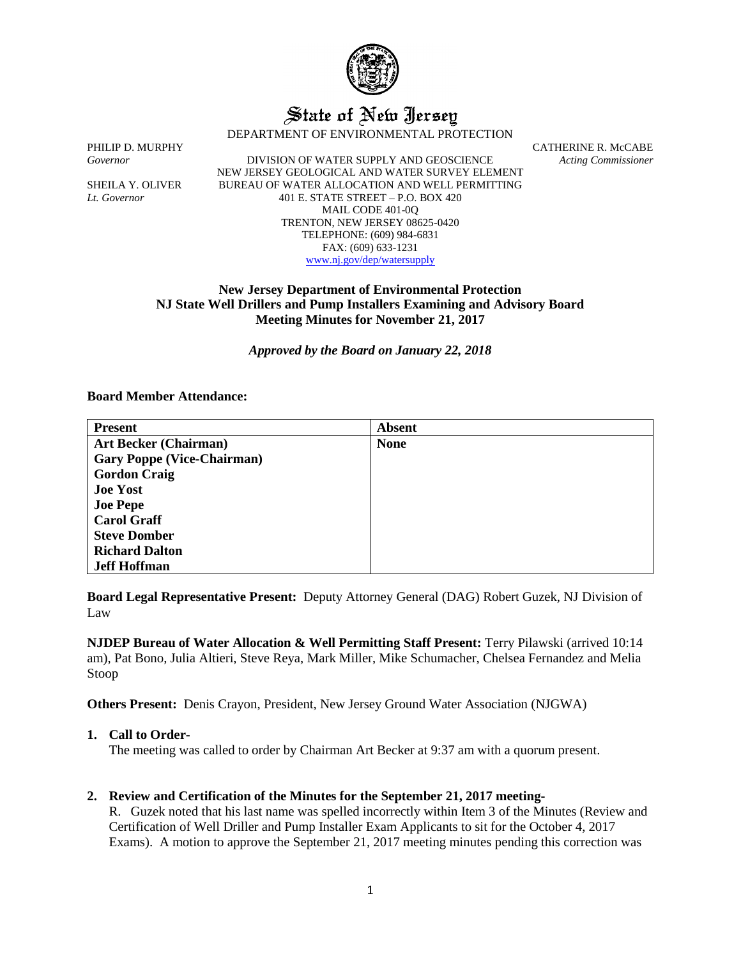

# State of New Jersey

DEPARTMENT OF ENVIRONMENTAL PROTECTION

*Governor* DIVISION OF WATER SUPPLY AND GEOSCIENCE *Acting Commissioner* NEW JERSEY GEOLOGICAL AND WATER SURVEY ELEMENT SHEILA Y. OLIVER BUREAU OF WATER ALLOCATION AND WELL PERMITTING *Lt. Governor* 401 E. STATE STREET – P.O. BOX 420 MAIL CODE 401-0Q TRENTON, NEW JERSEY 08625-0420 TELEPHONE: (609) 984-6831 FAX: (609) 633-1231 [www.nj.gov/dep/watersupply](http://www.nj.gov/dep/watersupply)

PHILIP D. MURPHY CATHERINE R. McCABE

# **New Jersey Department of Environmental Protection NJ State Well Drillers and Pump Installers Examining and Advisory Board Meeting Minutes for November 21, 2017**

*Approved by the Board on January 22, 2018*

## **Board Member Attendance:**

| <b>Present</b>                    | <b>Absent</b> |
|-----------------------------------|---------------|
| <b>Art Becker (Chairman)</b>      | <b>None</b>   |
| <b>Gary Poppe (Vice-Chairman)</b> |               |
| <b>Gordon Craig</b>               |               |
| <b>Joe Yost</b>                   |               |
| <b>Joe Pepe</b>                   |               |
| <b>Carol Graff</b>                |               |
| <b>Steve Domber</b>               |               |
| <b>Richard Dalton</b>             |               |
| <b>Jeff Hoffman</b>               |               |

**Board Legal Representative Present:** Deputy Attorney General (DAG) Robert Guzek, NJ Division of Law

**NJDEP Bureau of Water Allocation & Well Permitting Staff Present:** Terry Pilawski (arrived 10:14 am), Pat Bono, Julia Altieri, Steve Reya, Mark Miller, Mike Schumacher, Chelsea Fernandez and Melia Stoop

**Others Present:** Denis Crayon, President, New Jersey Ground Water Association (NJGWA)

#### **1. Call to Order-**

The meeting was called to order by Chairman Art Becker at 9:37 am with a quorum present.

### **2. Review and Certification of the Minutes for the September 21, 2017 meeting-**

R. Guzek noted that his last name was spelled incorrectly within Item 3 of the Minutes (Review and Certification of Well Driller and Pump Installer Exam Applicants to sit for the October 4, 2017 Exams). A motion to approve the September 21, 2017 meeting minutes pending this correction was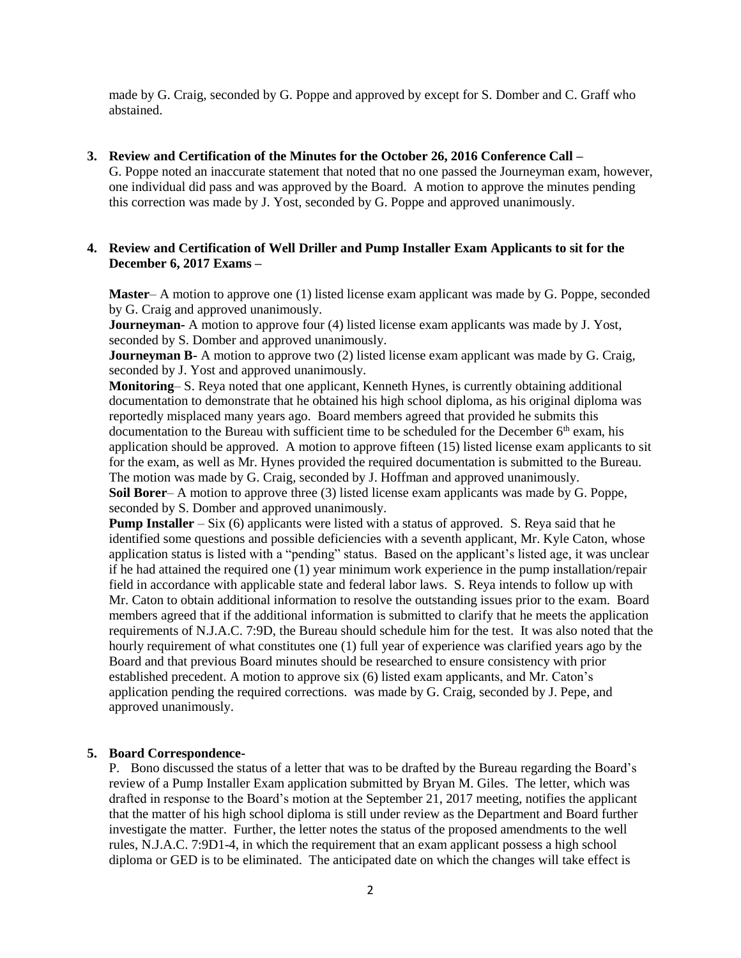made by G. Craig, seconded by G. Poppe and approved by except for S. Domber and C. Graff who abstained.

#### **3. Review and Certification of the Minutes for the October 26, 2016 Conference Call –**

G. Poppe noted an inaccurate statement that noted that no one passed the Journeyman exam, however, one individual did pass and was approved by the Board. A motion to approve the minutes pending this correction was made by J. Yost, seconded by G. Poppe and approved unanimously.

## **4. Review and Certification of Well Driller and Pump Installer Exam Applicants to sit for the December 6, 2017 Exams –**

**Master**– A motion to approve one (1) listed license exam applicant was made by G. Poppe, seconded by G. Craig and approved unanimously.

**Journeyman-** A motion to approve four (4) listed license exam applicants was made by J. Yost, seconded by S. Domber and approved unanimously.

**Journeyman B-** A motion to approve two (2) listed license exam applicant was made by G. Craig, seconded by J. Yost and approved unanimously.

**Monitoring**– S. Reya noted that one applicant, Kenneth Hynes, is currently obtaining additional documentation to demonstrate that he obtained his high school diploma, as his original diploma was reportedly misplaced many years ago. Board members agreed that provided he submits this documentation to the Bureau with sufficient time to be scheduled for the December  $6<sup>th</sup>$  exam, his application should be approved. A motion to approve fifteen (15) listed license exam applicants to sit for the exam, as well as Mr. Hynes provided the required documentation is submitted to the Bureau. The motion was made by G. Craig, seconded by J. Hoffman and approved unanimously. **Soil Borer**– A motion to approve three (3) listed license exam applicants was made by G. Poppe, seconded by S. Domber and approved unanimously.

**Pump Installer** – Six (6) applicants were listed with a status of approved. S. Reya said that he identified some questions and possible deficiencies with a seventh applicant, Mr. Kyle Caton, whose application status is listed with a "pending" status. Based on the applicant's listed age, it was unclear if he had attained the required one (1) year minimum work experience in the pump installation/repair field in accordance with applicable state and federal labor laws. S. Reya intends to follow up with Mr. Caton to obtain additional information to resolve the outstanding issues prior to the exam. Board members agreed that if the additional information is submitted to clarify that he meets the application requirements of N.J.A.C. 7:9D, the Bureau should schedule him for the test. It was also noted that the hourly requirement of what constitutes one (1) full year of experience was clarified years ago by the Board and that previous Board minutes should be researched to ensure consistency with prior established precedent. A motion to approve six (6) listed exam applicants, and Mr. Caton's application pending the required corrections. was made by G. Craig, seconded by J. Pepe, and approved unanimously.

#### **5. Board Correspondence-**

P. Bono discussed the status of a letter that was to be drafted by the Bureau regarding the Board's review of a Pump Installer Exam application submitted by Bryan M. Giles. The letter, which was drafted in response to the Board's motion at the September 21, 2017 meeting, notifies the applicant that the matter of his high school diploma is still under review as the Department and Board further investigate the matter. Further, the letter notes the status of the proposed amendments to the well rules, N.J.A.C. 7:9D1-4, in which the requirement that an exam applicant possess a high school diploma or GED is to be eliminated. The anticipated date on which the changes will take effect is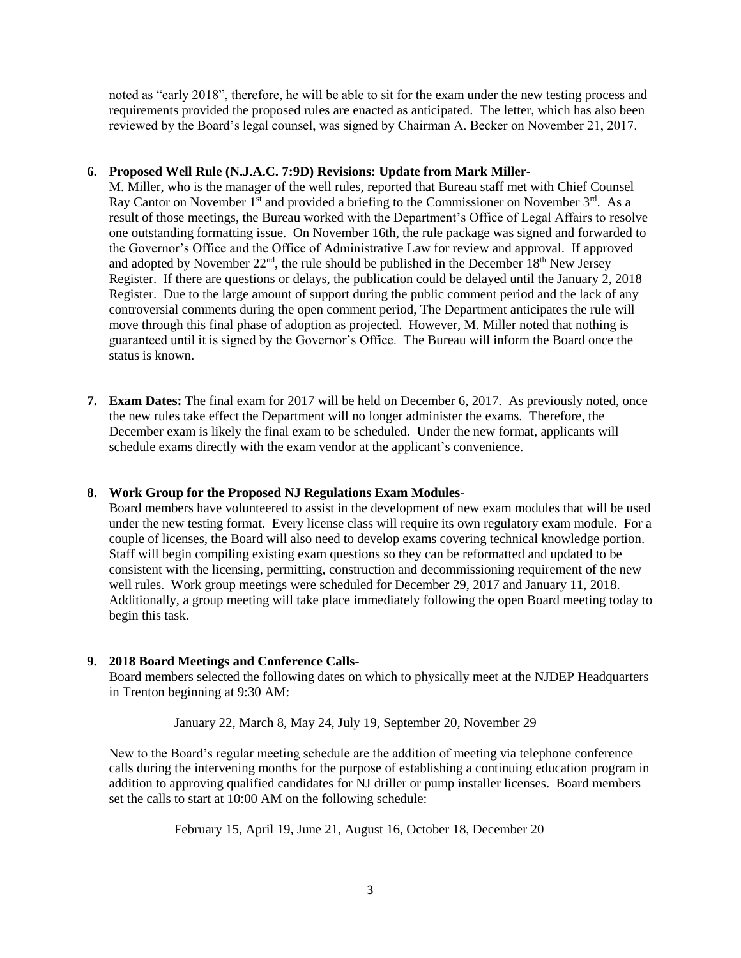noted as "early 2018", therefore, he will be able to sit for the exam under the new testing process and requirements provided the proposed rules are enacted as anticipated. The letter, which has also been reviewed by the Board's legal counsel, was signed by Chairman A. Becker on November 21, 2017.

## **6. Proposed Well Rule (N.J.A.C. 7:9D) Revisions: Update from Mark Miller-**

M. Miller, who is the manager of the well rules, reported that Bureau staff met with Chief Counsel Ray Cantor on November 1<sup>st</sup> and provided a briefing to the Commissioner on November 3<sup>rd</sup>. As a result of those meetings, the Bureau worked with the Department's Office of Legal Affairs to resolve one outstanding formatting issue. On November 16th, the rule package was signed and forwarded to the Governor's Office and the Office of Administrative Law for review and approval. If approved and adopted by November  $22<sup>nd</sup>$ , the rule should be published in the December 18<sup>th</sup> New Jersey Register. If there are questions or delays, the publication could be delayed until the January 2, 2018 Register. Due to the large amount of support during the public comment period and the lack of any controversial comments during the open comment period, The Department anticipates the rule will move through this final phase of adoption as projected. However, M. Miller noted that nothing is guaranteed until it is signed by the Governor's Office. The Bureau will inform the Board once the status is known.

**7. Exam Dates:** The final exam for 2017 will be held on December 6, 2017. As previously noted, once the new rules take effect the Department will no longer administer the exams. Therefore, the December exam is likely the final exam to be scheduled. Under the new format, applicants will schedule exams directly with the exam vendor at the applicant's convenience.

## **8. Work Group for the Proposed NJ Regulations Exam Modules-**

Board members have volunteered to assist in the development of new exam modules that will be used under the new testing format. Every license class will require its own regulatory exam module. For a couple of licenses, the Board will also need to develop exams covering technical knowledge portion. Staff will begin compiling existing exam questions so they can be reformatted and updated to be consistent with the licensing, permitting, construction and decommissioning requirement of the new well rules. Work group meetings were scheduled for December 29, 2017 and January 11, 2018. Additionally, a group meeting will take place immediately following the open Board meeting today to begin this task.

## **9. 2018 Board Meetings and Conference Calls-**

Board members selected the following dates on which to physically meet at the NJDEP Headquarters in Trenton beginning at 9:30 AM:

January 22, March 8, May 24, July 19, September 20, November 29

New to the Board's regular meeting schedule are the addition of meeting via telephone conference calls during the intervening months for the purpose of establishing a continuing education program in addition to approving qualified candidates for NJ driller or pump installer licenses. Board members set the calls to start at 10:00 AM on the following schedule:

February 15, April 19, June 21, August 16, October 18, December 20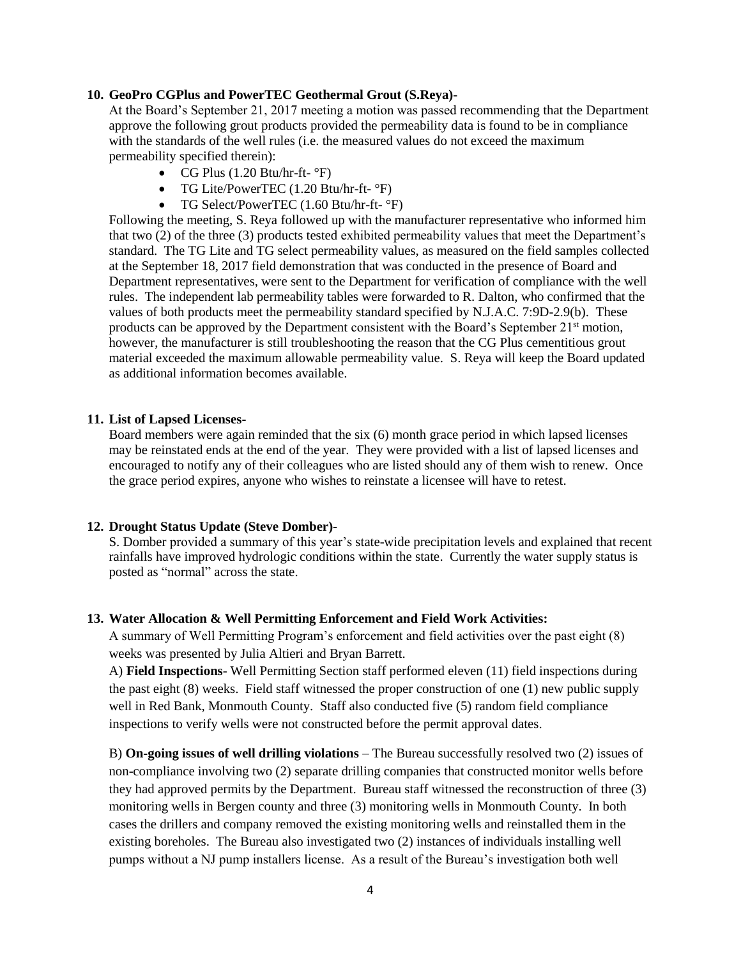## **10. GeoPro CGPlus and PowerTEC Geothermal Grout (S.Reya)-**

At the Board's September 21, 2017 meeting a motion was passed recommending that the Department approve the following grout products provided the permeability data is found to be in compliance with the standards of the well rules (i.e. the measured values do not exceed the maximum permeability specified therein):

- CG Plus  $(1.20 Btu/hr-ft-°F)$
- TG Lite/PowerTEC (1.20 Btu/hr-ft- °F)
- TG Select/PowerTEC (1.60 Btu/hr-ft- °F)

Following the meeting, S. Reya followed up with the manufacturer representative who informed him that two (2) of the three (3) products tested exhibited permeability values that meet the Department's standard. The TG Lite and TG select permeability values, as measured on the field samples collected at the September 18, 2017 field demonstration that was conducted in the presence of Board and Department representatives, were sent to the Department for verification of compliance with the well rules. The independent lab permeability tables were forwarded to R. Dalton, who confirmed that the values of both products meet the permeability standard specified by N.J.A.C. 7:9D-2.9(b). These products can be approved by the Department consistent with the Board's September  $21<sup>st</sup>$  motion, however, the manufacturer is still troubleshooting the reason that the CG Plus cementitious grout material exceeded the maximum allowable permeability value. S. Reya will keep the Board updated as additional information becomes available.

#### **11. List of Lapsed Licenses-**

Board members were again reminded that the six (6) month grace period in which lapsed licenses may be reinstated ends at the end of the year. They were provided with a list of lapsed licenses and encouraged to notify any of their colleagues who are listed should any of them wish to renew. Once the grace period expires, anyone who wishes to reinstate a licensee will have to retest.

#### **12. Drought Status Update (Steve Domber)-**

S. Domber provided a summary of this year's state-wide precipitation levels and explained that recent rainfalls have improved hydrologic conditions within the state. Currently the water supply status is posted as "normal" across the state.

## **13. Water Allocation & Well Permitting Enforcement and Field Work Activities:**

A summary of Well Permitting Program's enforcement and field activities over the past eight (8) weeks was presented by Julia Altieri and Bryan Barrett.

A) **Field Inspections**- Well Permitting Section staff performed eleven (11) field inspections during the past eight (8) weeks. Field staff witnessed the proper construction of one (1) new public supply well in Red Bank, Monmouth County. Staff also conducted five (5) random field compliance inspections to verify wells were not constructed before the permit approval dates.

B) **On-going issues of well drilling violations** – The Bureau successfully resolved two (2) issues of non-compliance involving two (2) separate drilling companies that constructed monitor wells before they had approved permits by the Department. Bureau staff witnessed the reconstruction of three (3) monitoring wells in Bergen county and three (3) monitoring wells in Monmouth County. In both cases the drillers and company removed the existing monitoring wells and reinstalled them in the existing boreholes. The Bureau also investigated two (2) instances of individuals installing well pumps without a NJ pump installers license. As a result of the Bureau's investigation both well